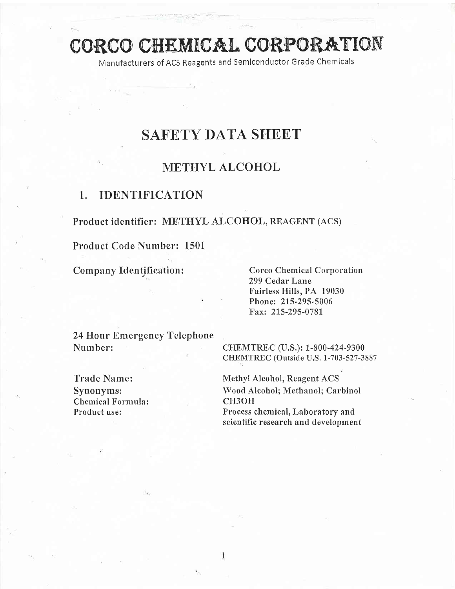# CORCO CHEMICAL CORPORATION

Manufacturers of ACS Reagents and Semlconductor Grade Chemicals

## **SAFETY DATA SHEET**

## METHYL ALCOHOL

## 1. IDENTIFICATION

Product identifier: METHYL ALCOHOL, REAGENT (ACS)

Product Code Number: 1501

Company Identification: Corco Chemical Corporation 299 Cedar Lane Fairless Hills, PA 19030 Phone: 215-295-5006 Fax: 215-295-078I

24 Hour Emergency Telephone Number: CHEMTREC (U.S.): 1-800-424-9300

CHEMTREC (Outside U.S. 1-703-527-3887

Chemical Formula:<br>Product use:

Trade Name: Methyl Alcohol, Reagent ACS Synonyms: Wood Alcohol; Methanol; Carbinol<br>Chemical Formula: CH3OH Process chemical, Laboratory and scientific research and development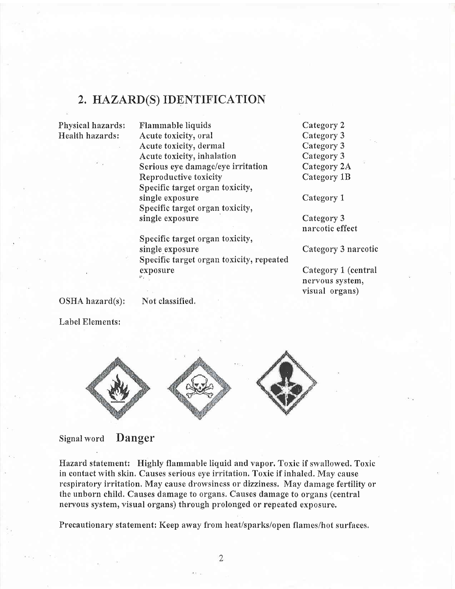## 2. HAZARD(S) IDENTIFICATION

Physical hazards: Health hazards:

Flammable liquids Acute toxicity, oral Acute toxicity, dermal Acute toxicity, inhalation Serious eye damage/eye irritation Reproductive toxicity Specific target organ toxicity, single exposure Specific target organ toxicity, single exposure

Specific target organ toxicity,

Specific target organ toxicity, repeated

Category 2 Category 3 Category 3 Category 3 Category 2A Category 1B

Category <sup>1</sup>

Category 3 narcotic effect

Category 3 narcotic

Category 1 (central neryous system, visual organs)

OSHA hazard(s):

Not classified,

single exposure

exposure

Label Elements:



Signal word Danger

Hazard statement: Highly flammable liquid and vapor. Toxic if swallowed. Toxic in contact with skin. Causes serious eye irritation. Toxic if inhaled. May cause respiratory irritation, May cause drowsiness or dizziness, May damage fertility or the unborn child. Causes damage to organs. Causes damage to organs (central nervous system, visual organs) through prolonged or repeated exposure.

Precautionary statement: Keep away from heat/sparks/open flames/hot surfaces,

 $\overline{2}$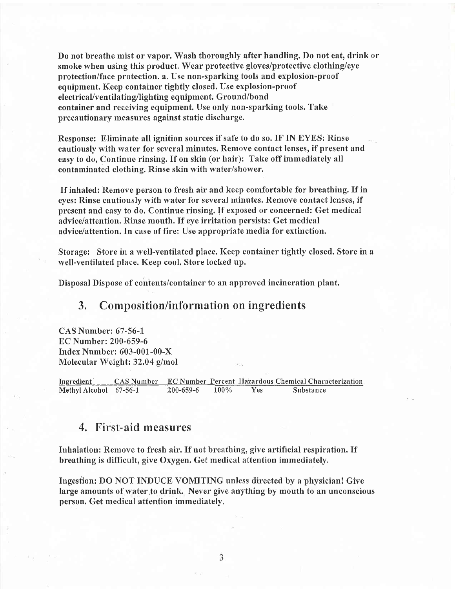Do not breathe mist or vapor. Wash thoroughly after handling. Do not eat, drink or smoke when using this product. Wear protective gloves/protective clothing/eye protection/face protection. a. Use non-sparhing tools and explosion-proof equipment. Keep container tightly closed. Use explosion-proof electrical/ventilating/lighting equipment. Ground/bond container and receiving equipment. Use only non-sparking tools. Take precautionary measures against static discharge,

Response: Eliminate all ignition sources if safe to do so. IF IN EYES: Rinse cautiously with water for several minutes. Remove contact lenses, if present and easy to do, Continue rinsing. If on skin (or hair): Tahe off immediately all contaminated clothing. Rinse skin with water/shower.

If inhaled: Remove person to fresh air and keep comfortable for breathing. If in eyes: Rinse cautiously with water for several minutes. Remove contact lenses, if present and easy to do. Continue rinsing. If exposed or concerned: Get medical advice/attention. Rinse mouth. If eye irritation persists: Get medical advice/attention. In case of fire: Use appropriate media for extinction.

Storage: Store in a well-ventilated place. Keep container tightly closed. Store in a well-ventilated place. Keep cool. Store locked up.

Disposal Dispose of contents/container to an approved incineration plant.

## 3. Composition/information on ingredients

CAS Number: 67-56-l EC Number: 200-659-6 Index Number: 603-001-00-X Molecular Weight: 32,04 g/mol

Ingredient . CAS Number EC Number Percent Hazardous Chemical Characterization<br>
Methyl Alcohol 67-56-1 200-659-6 100% Yes Substance Methyl Alcohol 67-56-1

## 4, First-aid measures

Inhalation: Remove to fresh air, If not breathing, give artificial respiration. If breathing is difficult, give Oxygen. Get medical attention immediately.

Ingestion: DO NOT INDUCE VOMITING unless directed by a physician! Give large amounts of water,to drink. Never give anything by mouth to an unconscious person. Get medical attention immediately,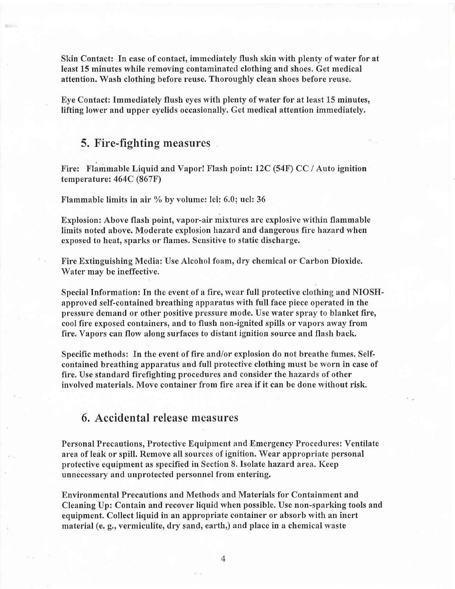Skin Contact: In case of contact, immediately flush skin with plenty of water for at least 15 minutes while removing contaminated clothing and shoes. Get medical attention. Wash clothing before reuse. Thoroughly clean shoes before reuse.

Eye Contact: Immediately flush eyes with plenty of water for at least 15 minutes, lifting lower and upper eyelids occasionally. Get medical attention immediately.

#### 5. Fire-fighting measures

Fire: Flammable Liquid and Vapor! Flash point: l2C (54F) CC / Auto ignition temperature:  $464C (867F)$ 

Flammable limits in air  $\%$  by volume: lel: 6.0; uel: 36

Explosion: Above flash point, vapor-air mixtures are explosive within flammable limits noted above. Moderate explosion hazard and dangerous fire hazard when exposed to heat, sparks or flames. Sensitive to static discharge.

Fire Extinguishing Media: Use Alcohol foam, dry chemical or Carbon Dioxide. Water may be ineffective.

Special Information: In the event of a fire, wear full protective clothing and NIOSHapproved self-contained breathing apparatus with full face piece operated in the pressure demand or other positive pressure mode. Use water spray to blanket fire, cool fire exposed containers, and to flush non-ignited spills or vapors away from fire, Vapors can flow along surfaces to distant ignition source and flash back.

Specific methods: In the event of fire and/or explosion do not breathe fumes. Selfcontained breathing apparatus and full protective clothing must be worn in case of fire. Use standard firefighting procedures and consider the hazards of other involved materials. Move container from fire area if it can be done without risk.

## 6. Accidental release measures

Personal Precautions, Protective Equipment and Emergency Procedures: Ventilate area of leak or spill. Remove all sources of ignition. Wear appropriate personal protective equipment as specified in Section 8. Isolate hazard area. Keep unnecessary and unprotected personnel from entering.

Environmental Precatrtions and Methods and Materials for Containment and Cleaning Up: Contain and recover liquid when possible. Use non-sparking tools and equipment. Collect liquid in an appropriate container or absorb with an inert material (e. g., vermiculite, dry sand, earth,) and place in a chemical waste

 $\overline{4}$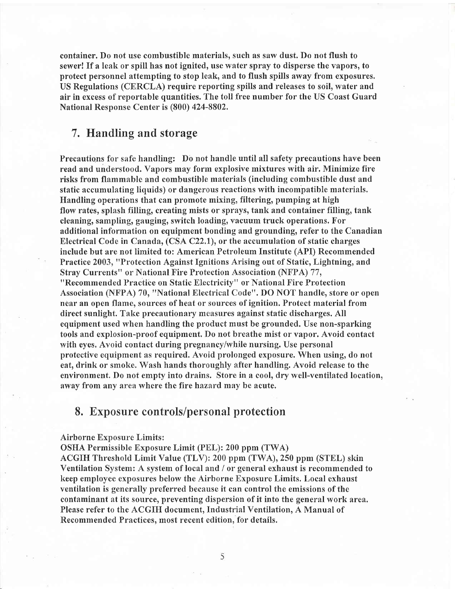container. Do not use combustible materials, such as saw dust. Do not flush to sewer! If a leak or spill has not ignited, use water spray to disperse the vapors, to protect personnel attempting to stop leak, and to flush spills away from exposures. US Regulations (CERCLA) require reporting spills and releases to soil, water and air in excess of reportable quantities. The toll free number for the US Coast Guard National Response Center is (800) 424-8802.

## 7. Handling and storage

Precautions for safe handling: Do not handle until all safety precautions have been read and understood. Vapors may form explosive mixtures with air. Minimize fire risks from flammable and combustible materials (including combustible dust and static accumulating liquids) or dangerous reactions with incompatible materials. Handling operations that can promote mixing, filtering, pumping at high flow rates, splash filling, creating mists or sprays, tank and container filling, tank cleaning, sampling, gauging, switch loading, vacuum truck operations. For additional information on equipment bonding and grounding, refer to the Canadian Electrical Code in Canada, (CSA C22,1), or the accumulation of static charges include but are not limited to: American Petroleum Institute (API) Recommended Practice 2003, "Protection Against Ignitions Arising out of Static, Lightning, and Stray Currents" or National Fire Protection Association (NFPA) 77, "Recommended Practice on Static Electricity" or National Fire Protection Association (NFPA) 70, "National Electrical Code". DO NOT handle, store or open near an open flame, sources of heat or sources of ignition. Protect material from direct sunlight. Take precautionary measures against static discharges. All equipment used when handling the product must be grounded. Use non-sparking tools and explosion-proof equipment. f)o not breathe mist or vapor. Avoid contact with eyes. Avoid contact during pregnancy/while nursing. Use personal protective equipment as required. Avoid prolonged exposure. When using, do not eat, drink or smoke. Wash hands thoroughly after handling. Avoid release to the environment. Do not empty into drains. Store in a cool, dry well-ventilated location, away from any area where the fire hazard may be acute.

#### 8. Exposure controls/personal protection

Airborne Exposure Limits :

OSHA Permissible Exposure Limit (PEL): 200 ppm (TWA)

ACGIH Threshold Limit Value (TLV): 200 ppm (TWA), 250 ppm (STEL) skin Ventilation System: A system of local and / or general exhaust is recommended to keep employee exposures below the Airborne Exposure Limits. Local exhaust ventilation is generally preferred because it can control the emissions of the contaminant at its source, preventing dispersion of it into the general work area. Please refer to the ACGIFI document, Industrial Ventilation, A Manual of Recommended Practices, most recent edition, for details.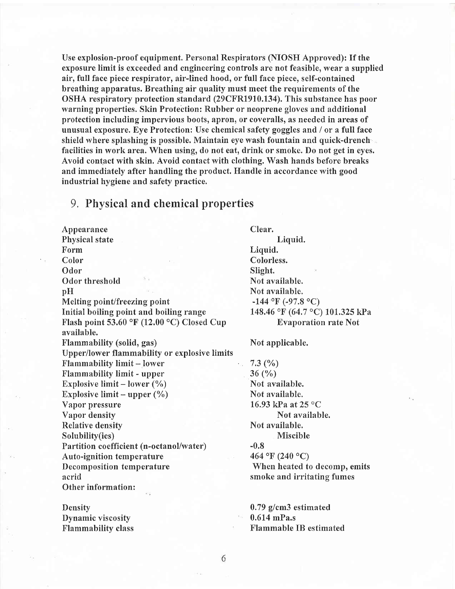Use explosion-proof equipment. Personal Respirators (NIOSH Approved): If the exposure limit is exceeded and engineering controls are not feasible, wear a supplied air, full face piece respirator, air-lined hood, or full face piece, self-contained breathing apparatus. Breathing air quality must meet the requirements of the OSHA respiratory protection standard (29CFRl910.134). This substance has poor warning properties. Skin Protection: Rubber or neoprene gloves and additional protection including impervious boots, apron, or coveralls, as needed in areas of unusual exposure. Eye Protection: Use chemical safety goggles and / or a full face shield where splashing is possible. Maintain eye wash fountain and quick-drench facilities in work area. When using, do not eat, drink or smoke. Do not get in eyes. Avoid contact with skin. Avoid contact with clothing. Wash hands before breaks and immediately after handling the product. Handle in accordance with good industrial hygiene and safety practice.

#### 9. Physical and chemical properties

Appearance Clear. Physical state Liquid.<br>Form Liquid. Form Liquid.<br>
Color Color Color Odor Slight. Odor threshold  $\qquad \qquad$  Not available. pH Not available. Melting point/freezing point<br>
Initial boiling point and boiling range<br>  $148.46 \text{ }^{\circ}\text{F}$  (64.7  $\text{ }^{\circ}\text{C}$ ) Flash point 53.60 °F (12.00 °C) Closed Cup Evaporation rate Not available. Flammability (solid, gas) Not applicable. Upper/lower flammability or explosive limits Flammability limit – lower 7.3  $(\%)$ <br>Flammability limit - upper 36  $(\%)$ Flammability limit - upper Explosive limit – lower  $(\%)$ <br>Explosive limit – upper  $(\%)$  Not available.<br>Not available. Explosive limit - upper  $(\%)$ <br>Vapor pressure Vapor density Relative density Not available. Solubility(ies) Miscible Partition coefficient (n-octanol/water) Auto-ignition temperature  $464 \text{°F} (240 \text{°C})$ Decomposition temperature When heated to decomp, emits acrid smoke and irritating fumes Other information:

Density Dynamic viscosity Flammability class 148.46 °F (64.7 °C) 101.325 kPa

16.93 kPa at  $25 °C$ <br>Not available.

0.79 g/cm3 estimated 0.614 mPa.s Flammable IB estimated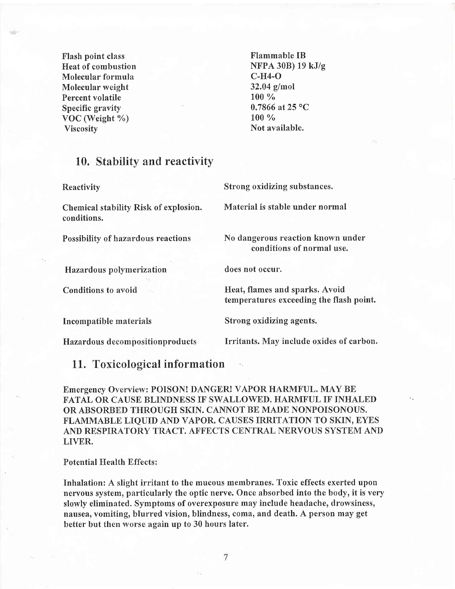Flash point class Heat of combustion Molecular formula Molecular weight Percent volatile Specific gravity VoC (Weight %) Viscosity

Flammable IB NFPA 30B) 19 kJ/g c-H4-O 32.04 g/mol 100 % 0.7866 at 25 °C  $100 \%$ Not available.

## 10. Stability and reactivity

Reactivity Strong oxidizing substances. Chemical stability Risk of explosion. Material is stable under normal conditions. Possibility of hazardous reactions No dangerous reaction known under conditions of normal use. Hazardous polymerization does not occur. Conditions to avoid Fleat, flames and sparks. Avoid temperatures exceeding the flash point. Incompatible materials Strong oxidizing agents. Hazardous decompositionproducts Irritants. May include oxides of carbon.

#### 11. Toxicological information

Emergency Overuiew: POISON! DANGER! VAPOR HARMFUL. MAY BE FATAL OR CAUSE BLINDNESS IF SWALLOWED. HARMFUL IF INHALED OR ABSORBED THROUGH SKIN. CANNOT BE MADE NONPOISONOUS. FLAMMABLE LIQUID AND VAPOR. CAUSES IRRITATION TO SKIN, EYES AND RESPIRATORY TRACT, AFFECTS CENTRAL NERVOUS SYSTEM AND LIVER.

#### Potential Health Effects:

Inhalation: A slight irritant to the mucous membranes. Toxic effects exerted upon nervous system, particularly the optic nerve. Once absorbed into the body, it is very slowly eliminated. Symptoms of overexposure may include headache, drowsiness, nausea, vomiting, blurred vision, blindness, coma, and death. A person may get better but then worse again up to 30 hours later.

 $\overline{7}$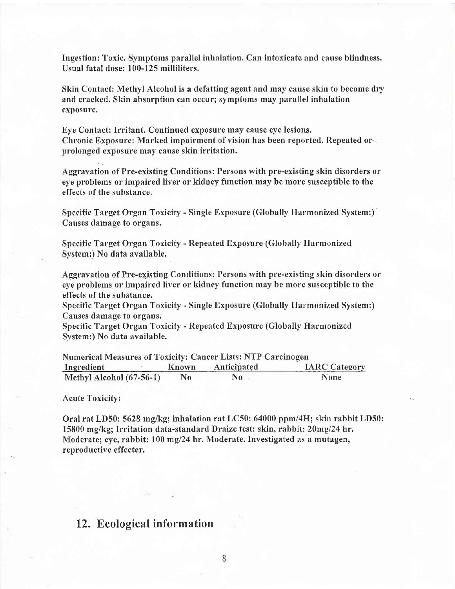Ingestion: Toxic. Symptoms parallel inhalation. Can intoxicate and cause blindness. Usual fatal dose: 100-125 milliliters.

Skin Contact: Methyl Alcohol is a defatting agent and may cause skin to become dry and cracked. Skin absorption can occur; symptoms may parallel inhalation exposure.

Eye Contact: Irritant. Continued exposure may cause eye lesions. Chronic Exposure: Marked impairment of vision has been reported. Repeated or prolonged exposure may cause skin irritation.

Aggravation of Pre-existing Conditions: Persons with pre-existing skin disorders or eye problems or impaired liver or kidney function may be more susceptible to the effects of the substance.

Specific Target Organ Toxicity - Single Exposure (Globally Harmonized System:)' Causes damage to organs.

Specific Target Organ Toxicity - Repeated Exposure (Globally Harmonized System:) No data available.

Aggravation of Pre-existing Conditions: Persons with pre-existing skin disorders or eye problems or impaired liver or kidney function may be more susceptible to the effects of the substance.

Specific Target Organ Toxicity - Single Exposure (Globally Harmonized System:) Causes damage to organs.

Specific Target Organ Toxicity - Repeated Exposure (Globally I{armonized System:) No data available.

| <b>Numerical Measures of Toxicity: Cancer Lists: NTP Carcinogen</b> |     |                   |                      |  |  |  |
|---------------------------------------------------------------------|-----|-------------------|----------------------|--|--|--|
| Ingredient                                                          |     | Known Anticipated | <b>IARC Category</b> |  |  |  |
| Methyl Alcohol (67-56-1)                                            | No. | No                | <b>None</b>          |  |  |  |

Acute Toxicity:

Oral rat LD50: 5628 mglkg; inhalation rat LC50: 64000 ppm/4H; shin rabbit LD50: 15800 mg/kg; Irritation data-standard Draize test: skin, rabbit: 20mg/24 hr. Moderate; eye, rabbit: 100 mg/24 hr. Moderate. Investigated as a mutagen, reproductive effecter.

## 12. Ecological information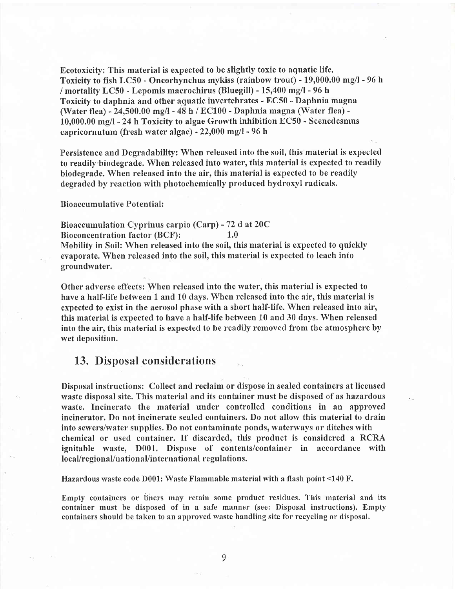Ecotoxicity: This material is expected to be slightly toxic to aquatic life. Toxicity to fish LC50 - Oncorhynchus mykiss (rainbow trout) - 19,000.00 mg/l - 96 h / mortality LC50 - Lepomis macrochirus (Bluegill) - 15,400 mg/l - 96 h Toxicity to daphnia and other aquatic invertebrates - EC50 - Daphnia magna (Water flea) - 24,500.00 mg/l - 48 h /  $EC100$  - Daphnia magna (Water flea) -10,000.00 mg/l - 24 h Toxicity to algae Growth inhibition EC50 - Scenedesmus capricornutum (fresh water algae) -  $22,000$  mg/l - 96 h

Persistence and Degradability: When released into the soil, this material is expected to readily-biodegrade. When released into water, this material is expected to readily biodegrade. When released into the air, this material is expected to be readily degraded by reaction with photochemically produced hydroxyl radicals.

Bioaccumulative Potential:

Bioaccumulation Cyprinus carpio (Carp) - 72 d at 20C Bioconcentration factor (BCF):  $1.0$ Mobility in Soil: When released into the soil, this material is expected to quickly evaporate. When released into the soil, this material is expected to leach into groundwater.

Other adverse effects: When released into the water, this material is expected to have a half-life between 1 and 10 days. When released into the air, this material is expected to exist in the aerosol phase with a short half-life. When released into air, this material is expected to have a half-life between 10 and 30 days. When released into the air, this material is expected to be readily removed from the atmosphere by wet deposition.

### 13. Disposal considerations

Disposal instructions: Collect and reclaim or dispose in sealed containers at licensed waste disposal site. This material and its container must be disposed of as hazardous waste, Incinerate the material under controlled conditions in an approved incinerator. Do not incinerate sealed containers. Do not allow this material to drain into sewers/water supplies. Do not contaminate ponds, waterways or ditches with chemical or used container. If discarded, this product is considered a RCRA ignitable waste, D001. Dispose of contents/container in accordance with local/regional/nationaVinternational regulations.

Hazardous waste code D001: Waste Flammable material with a flash point <140 F.

Empty containers or liners may retain some product residues. This material and its container must be disposed of in a safe manner (see: Disposal instructions). Empty containers should be taken to an approved waste handling site for recycling or disposal.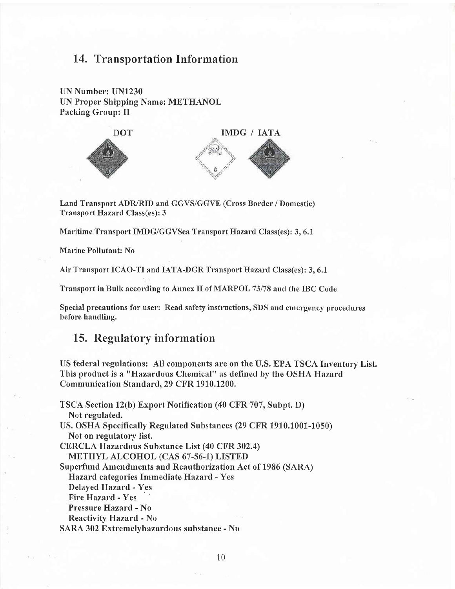## 14. Transportation Information

UN Number: UN1230 UN Proper Shipping Name: METHANOL Packing Group: II



Land Transport ADR/RID and GGVS/GGVE (Cross Border / Domestic) Transport Hazard Class(es): 3

Maritime Transport IMDG/GGVSea Transport Hazard Class(es): 3, 6.1

Marine Pollutant: No

Air Transport ICAO-TI and IATA-DGR Transport Haznrd Class(es): 3, 6.1

Transport in Bulk according to Annex II of MARPOL 73/78 and the IBC Code

Special precautions for user: Read safety instructions, SDS and emergency procedures before handling.

### 15. Regulatory information

US federal regulations: All components are on the U.S. EPA TSCA Inventory List. This product is a "Hazardous Chemical" as defined by the OSHA Hazard Communication Standard. 29 CFR 1910.1200.

TSCA Section lz(b) Export Notification (40 CFR 707, Subpt. D) Not regulated. US. OSHA Specifically Regulated Substances (29 CFR 1910.1001-1050) Not on regulatory list. CERCLA Hazardous Substance List (40 CFR 302,4) METHYL ALCOHOL (CAS 67-56-1) LISTED Superfund Amendments and Reauthorization Act of 1986 (SARA) Elazard categories Immediate Hazard - Yes Delayed Hazard - Yes Fire Hazard - Yes Pressure Hazard - No Reactivity Hazard - No SARA 302 Extremelvhazardous substance - No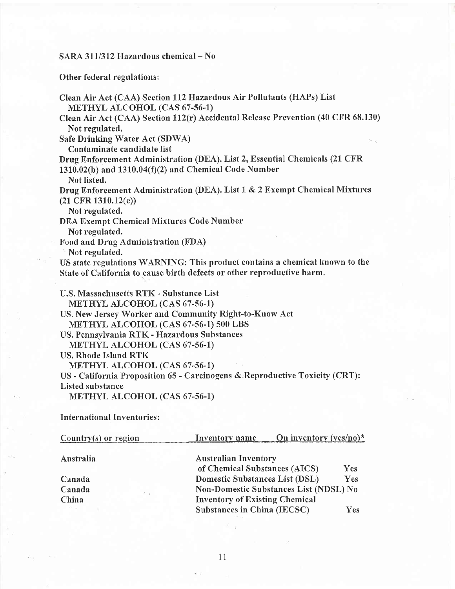## SARA 311/312 Hazardous chemical - No

Other federal regulations:

| Clean Air Act (CAA) Section 112 Hazardous Air Pollutants (HAPs) List             |
|----------------------------------------------------------------------------------|
| METHYL ALCOHOL (CAS 67-56-1)                                                     |
| Clean Air Act (CAA) Section 112(r) Accidental Release Prevention (40 CFR 68.130) |
| Not regulated.                                                                   |
| <b>Safe Drinking Water Act (SDWA)</b>                                            |
| Contaminate candidate list                                                       |
| Drug Enforcement Administration (DEA). List 2, Essential Chemicals (21 CFR       |
| 1310.02(b) and 1310.04(f)(2) and Chemical Code Number                            |
| Not listed.                                                                      |
| Drug Enforcement Administration (DEA). List 1 & 2 Exempt Chemical Mixtures       |
| $(21 \text{ CFR } 1310.12(c))$                                                   |
| Not regulated.                                                                   |
| DEA Exempt Chemical Mixtures Code Number                                         |
| Not regulated.                                                                   |
| Food and Drug Administration (FDA)                                               |
| Not regulated.                                                                   |
| US state regulations WARNING: This product contains a chemical known to the      |
| State of California to cause birth defects or other reproductive harm.           |
| U.S. Massachusetts RTK - Substance List                                          |
| <b>METHYL ALCOHOL (CAS 67-56-1)</b>                                              |
| US. New Jersey Worker and Community Right-to-Know Act                            |
| METHYL ALCOHOL (CAS 67-56-1) 500 LBS                                             |
| US. Pennsylvania RTK - Hazardous Substances                                      |
| METHYL ALCOHOL (CAS 67-56-1)                                                     |
| <b>US. Rhode Island RTK</b>                                                      |
| METHYL ALCOHOL (CAS 67-56-1)                                                     |
| US - California Proposition 65 - Carcinogens & Reproductive Toxicity (CRT):      |
| Listed substance                                                                 |
| METHYL ALCOHOL (CAS 67-56-1)                                                     |

International Inventories:

| Country $(s)$ or region | Inventory name                        | On inventory $(yes/no)^*$              |            |  |
|-------------------------|---------------------------------------|----------------------------------------|------------|--|
| Australia               | <b>Australian Inventory</b>           |                                        |            |  |
|                         | of Chemical Substances (AICS)         |                                        | <b>Yes</b> |  |
| Canada                  | Domestic Substances List (DSL)        |                                        | Yes        |  |
| Canada                  |                                       | Non-Domestic Substances List (NDSL) No |            |  |
| China                   | <b>Inventory of Existing Chemical</b> |                                        |            |  |
|                         | Substances in China (IECSC)           |                                        | Yes        |  |